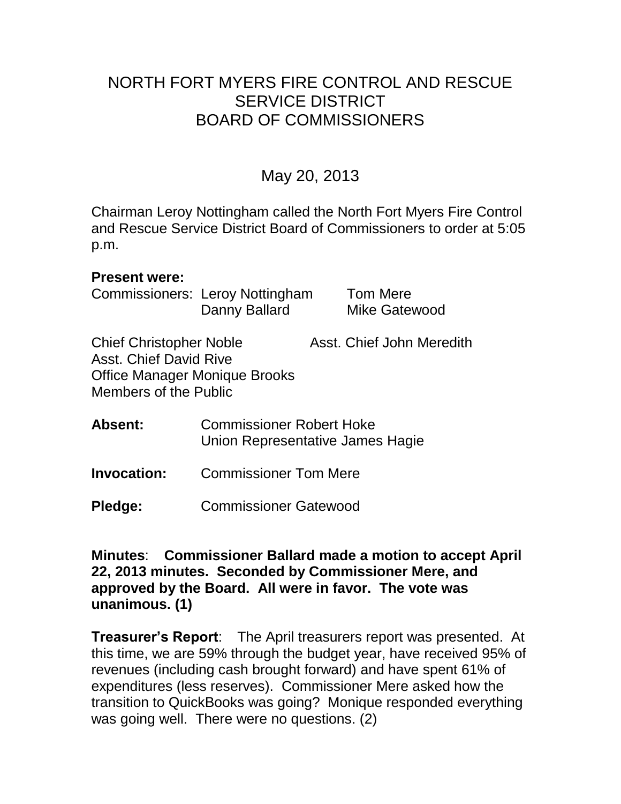# NORTH FORT MYERS FIRE CONTROL AND RESCUE SERVICE DISTRICT BOARD OF COMMISSIONERS

# May 20, 2013

Chairman Leroy Nottingham called the North Fort Myers Fire Control and Rescue Service District Board of Commissioners to order at 5:05 p.m.

#### **Present were:**

Commissioners: Leroy Nottingham Tom Mere Danny Ballard Mike Gatewood

Chief Christopher Noble Asst. Chief John Meredith Asst. Chief David Rive Office Manager Monique Brooks Members of the Public

**Absent:** Commissioner Robert Hoke Union Representative James Hagie

**Invocation:** Commissioner Tom Mere

**Pledge:** Commissioner Gatewood

**Minutes**: **Commissioner Ballard made a motion to accept April 22, 2013 minutes. Seconded by Commissioner Mere, and approved by the Board. All were in favor. The vote was unanimous. (1)** 

**Treasurer's Report**: The April treasurers report was presented. At this time, we are 59% through the budget year, have received 95% of revenues (including cash brought forward) and have spent 61% of expenditures (less reserves). Commissioner Mere asked how the transition to QuickBooks was going? Monique responded everything was going well. There were no questions. (2)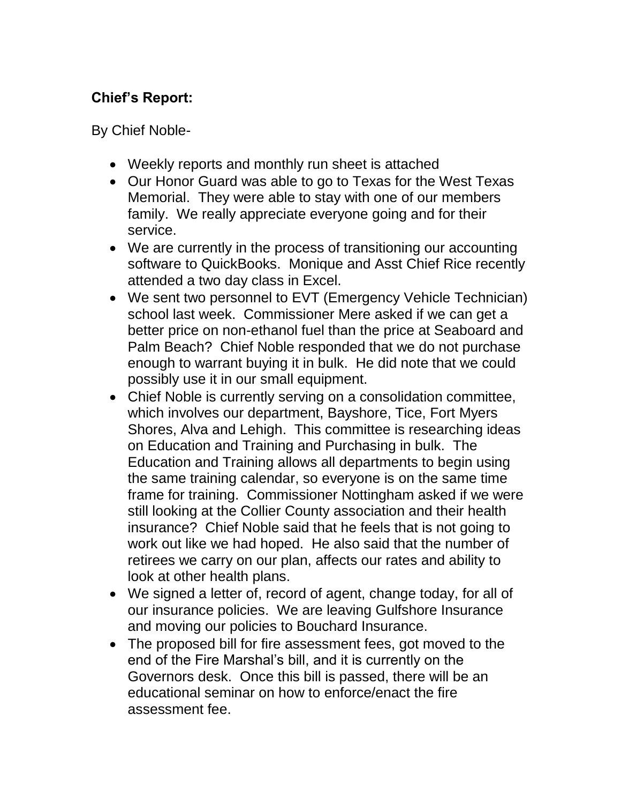## **Chief's Report:**

By Chief Noble-

- Weekly reports and monthly run sheet is attached
- Our Honor Guard was able to go to Texas for the West Texas Memorial. They were able to stay with one of our members family. We really appreciate everyone going and for their service.
- We are currently in the process of transitioning our accounting software to QuickBooks. Monique and Asst Chief Rice recently attended a two day class in Excel.
- We sent two personnel to EVT (Emergency Vehicle Technician) school last week. Commissioner Mere asked if we can get a better price on non-ethanol fuel than the price at Seaboard and Palm Beach? Chief Noble responded that we do not purchase enough to warrant buying it in bulk. He did note that we could possibly use it in our small equipment.
- Chief Noble is currently serving on a consolidation committee, which involves our department, Bayshore, Tice, Fort Myers Shores, Alva and Lehigh. This committee is researching ideas on Education and Training and Purchasing in bulk. The Education and Training allows all departments to begin using the same training calendar, so everyone is on the same time frame for training. Commissioner Nottingham asked if we were still looking at the Collier County association and their health insurance? Chief Noble said that he feels that is not going to work out like we had hoped. He also said that the number of retirees we carry on our plan, affects our rates and ability to look at other health plans.
- We signed a letter of, record of agent, change today, for all of our insurance policies. We are leaving Gulfshore Insurance and moving our policies to Bouchard Insurance.
- The proposed bill for fire assessment fees, got moved to the end of the Fire Marshal's bill, and it is currently on the Governors desk. Once this bill is passed, there will be an educational seminar on how to enforce/enact the fire assessment fee.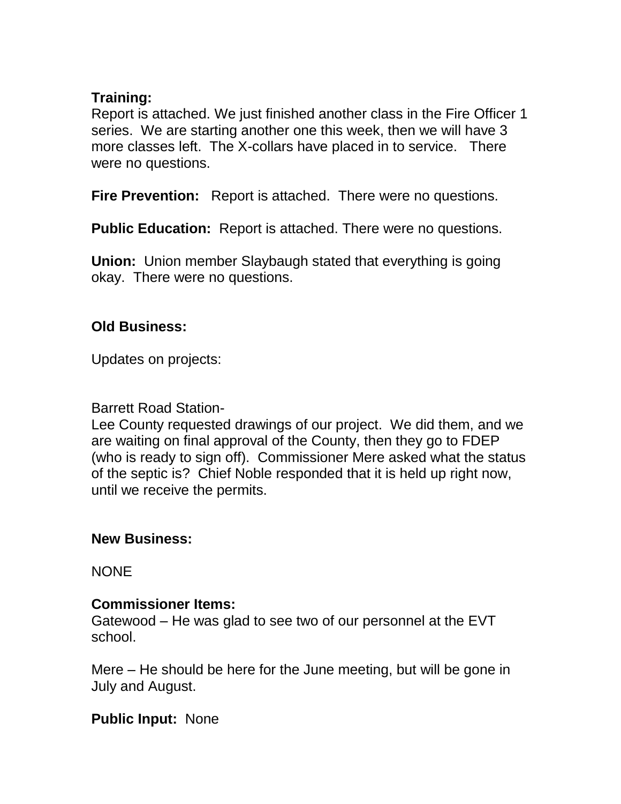#### **Training:**

Report is attached. We just finished another class in the Fire Officer 1 series. We are starting another one this week, then we will have 3 more classes left. The X-collars have placed in to service. There were no questions.

**Fire Prevention:** Report is attached. There were no questions.

**Public Education:** Report is attached. There were no questions.

**Union:** Union member Slaybaugh stated that everything is going okay. There were no questions.

## **Old Business:**

Updates on projects:

### Barrett Road Station-

Lee County requested drawings of our project. We did them, and we are waiting on final approval of the County, then they go to FDEP (who is ready to sign off). Commissioner Mere asked what the status of the septic is? Chief Noble responded that it is held up right now, until we receive the permits.

## **New Business:**

**NONE** 

### **Commissioner Items:**

Gatewood – He was glad to see two of our personnel at the EVT school.

Mere – He should be here for the June meeting, but will be gone in July and August.

### **Public Input:** None